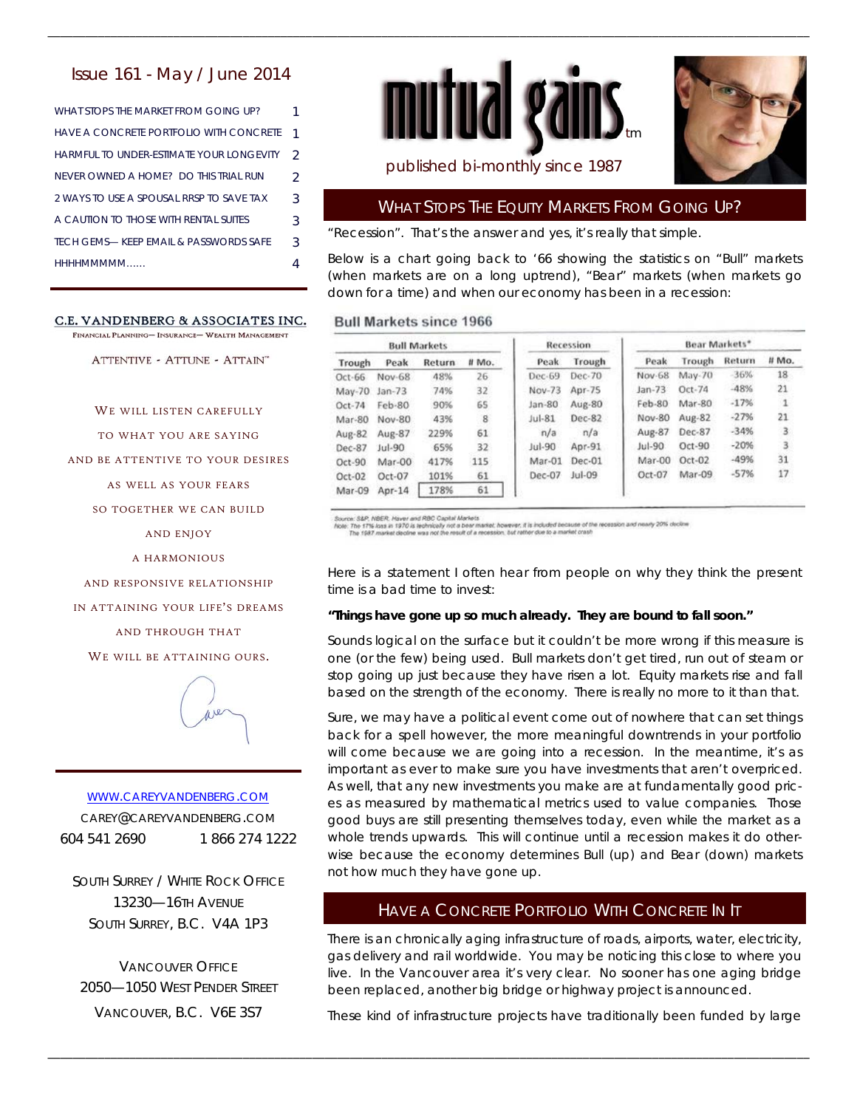### Issue 161 - May / June 2014

WHAT STOPS THE MARKET FROM GOING UP? 1 HAVE A CONCRETE PORTFOLIO WITH CONCRETE 1 HARMFUL TO UNDER-ESTIMATE YOUR LONGEVITY 2 NEVER OWNED A HOME? DO THIS TRIAL RUN 2 2 WAYS TO USE A SPOUSAL RRSP TO SAVE TAX 3 A CAUTION TO THOSE WITH RENTAL SUITES 3 HHHHMMMMM…… 4 TECH GEMS-KEEP EMAIL & PASSWORDS SAFE 3

#### C.E. VANDENBERG & ASSOCIATES INC.

FINANCIAL PLANNING- INSURANCE- WEALTH MANAGEMENT

ATTENTIVE - ATTUNE - ATTAIN"

WE WILL LISTEN CAREFULLY

TO WHAT YOU ARE SAYING

AND BE ATTENTIVE TO YOUR DESIRES

AS WELL AS YOUR FEARS

SO TOGETHER WE CAN BUILD

AND ENJOY

A HARMONIOUS

AND RESPONSIVE RELATIONSHIP

IN ATTAINING YOUR LIFE'S DREAMS

AND THROUGH THAT

WE WILL BE ATTAINING OURS.



# WWW.CAREYVANDENBERG.COM CAREY@CAREYVANDENBERG.COM

604 541 2690 1 866 274 1222

SOUTH SURREY / WHITE ROCK OFFICE 13230—16TH AVENUE SOUTH SURREY, B.C. V4A 1P3

VANCOUVER OFFICE 2050—1050 WEST PENDER STREET VANCOUVER, B.C. V6E 3S7





## published bi-monthly since 1987

## WHAT STOPS THE EQUITY MARKETS FROM GOING UP?

"Recession". That's the answer and yes, it's really that simple.

Below is a chart going back to '66 showing the statistics on "Bull" markets (when markets are on a long uptrend), "Bear" markets (when markets go down for a time) and when our economy has been in a recession:

#### **Bull Markets since 1966**

\_\_\_\_\_\_\_\_\_\_\_\_\_\_\_\_\_\_\_\_\_\_\_\_\_\_\_\_\_\_\_\_\_\_\_\_\_\_\_\_\_\_\_\_\_\_\_\_\_\_\_\_\_\_\_\_\_\_\_\_\_\_\_\_\_\_\_\_\_\_\_\_\_\_\_\_\_\_\_\_\_\_\_\_\_\_\_\_\_\_\_\_\_\_\_\_\_\_\_\_\_\_\_\_\_\_\_\_\_\_\_\_\_\_\_\_\_\_\_\_\_

| <b>Bull Markets</b> |               |        |       | Recession |          | Bear Markets* |          |        |             |
|---------------------|---------------|--------|-------|-----------|----------|---------------|----------|--------|-------------|
| Trough              | Peak          | Return | # Mo. | Peak      | Trough   | Peak          | Trough   | Return | # Mo.       |
| Oct-66              | <b>Nov-68</b> | 48%    | 26    | Dec-69    | Dec-70   | Nov-68        | May-70   | $-36%$ | 18          |
| May-70              | $Jan-73$      | 74%    | 32    | $Now-73$  | Apr-75   | $Jan-73$      | Oct-74   | $-48%$ | 21          |
| Oct-74              | Feb-80        | 90%    | 65    | $Jan-80$  | Aug-80   | Feb-80        | $Mar-80$ | $-17%$ | $\mathbf 1$ |
| Mar-80              | Nov-80        | 43%    | 8     | $Jul-81$  | Dec-82   | <b>Nov-80</b> | Aug-82   | $-27%$ | 21          |
| Aug-82              | Aug-87        | 229%   | 61    | n/a       | n/a      | Aug-87        | Dec-87   | $-34%$ | 3           |
| Dec-87              | $ u $ -90     | 65%    | 32    | $Jul-90$  | Apr-91   | $Jul-90$      | Oct-90   | $-20%$ | 3           |
| Oct-90              | Mar-00        | 417%   | 115   | Mar-01    | Dec-01   | Mar-00        | $Oct-02$ | $-49%$ | 31          |
| Oct-02              | Oct-07        | 101%   | 61    | Dec-07    | $Jul-09$ | $Oct-07$      | Mar-09   | $-57%$ | 17          |
| Mar-09              | Apr-14        | 178%   | 61    |           |          |               |          |        |             |

\_\_\_\_\_\_\_\_\_\_\_\_\_\_\_\_\_\_\_\_\_\_\_\_\_\_\_\_\_\_\_\_\_\_\_\_\_\_\_\_\_\_\_\_\_\_\_\_\_\_\_\_\_\_\_\_\_\_\_\_\_\_\_\_\_\_\_\_\_\_\_\_\_\_\_\_\_\_\_\_\_\_\_\_\_\_\_\_\_\_\_\_\_\_\_\_\_\_\_\_\_\_\_\_\_\_\_\_\_\_\_\_\_\_\_\_\_\_\_\_\_

Source: S&P, NBER. Haver and RBC Capital Markets.<br>Note: The 1715 loss in 1970 is technically rock a bear market, however, it is included because of the recession and nearly 20% decline<br>The 1987 market decline was not the r

Here is a statement I often hear from people on why they think the present time is a bad time to invest:

#### *"Things have gone up so much already. They are bound to fall soon."*

Sounds logical on the surface but it couldn't be more wrong if this measure is one (or the few) being used. Bull markets don't get tired, run out of steam or stop going up just because they have risen a lot. Equity markets rise and fall based on the strength of the economy. There is really no more to it than that.

Sure, we may have a political event come out of nowhere that can set things back for a spell however, the more meaningful downtrends in your portfolio will come because we are going into a recession. In the meantime, it's as important as ever to make sure you have investments that aren't overpriced. As well, that any new investments you make are at fundamentally good prices as measured by mathematical metrics used to value companies. Those good buys are still presenting themselves today, even while the market as a whole trends upwards. This will continue until a recession makes it do otherwise because the economy determines Bull (up) and Bear (down) markets not how much they have gone up.

### HAVE A CONCRETE PORTFOLIO WITH CONCRETE IN IT

There is an chronically aging infrastructure of roads, airports, water, electricity, gas delivery and rail worldwide. You may be noticing this close to where you live. In the Vancouver area it's very clear. No sooner has one aging bridge been replaced, another big bridge or highway project is announced.

These kind of infrastructure projects have traditionally been funded by large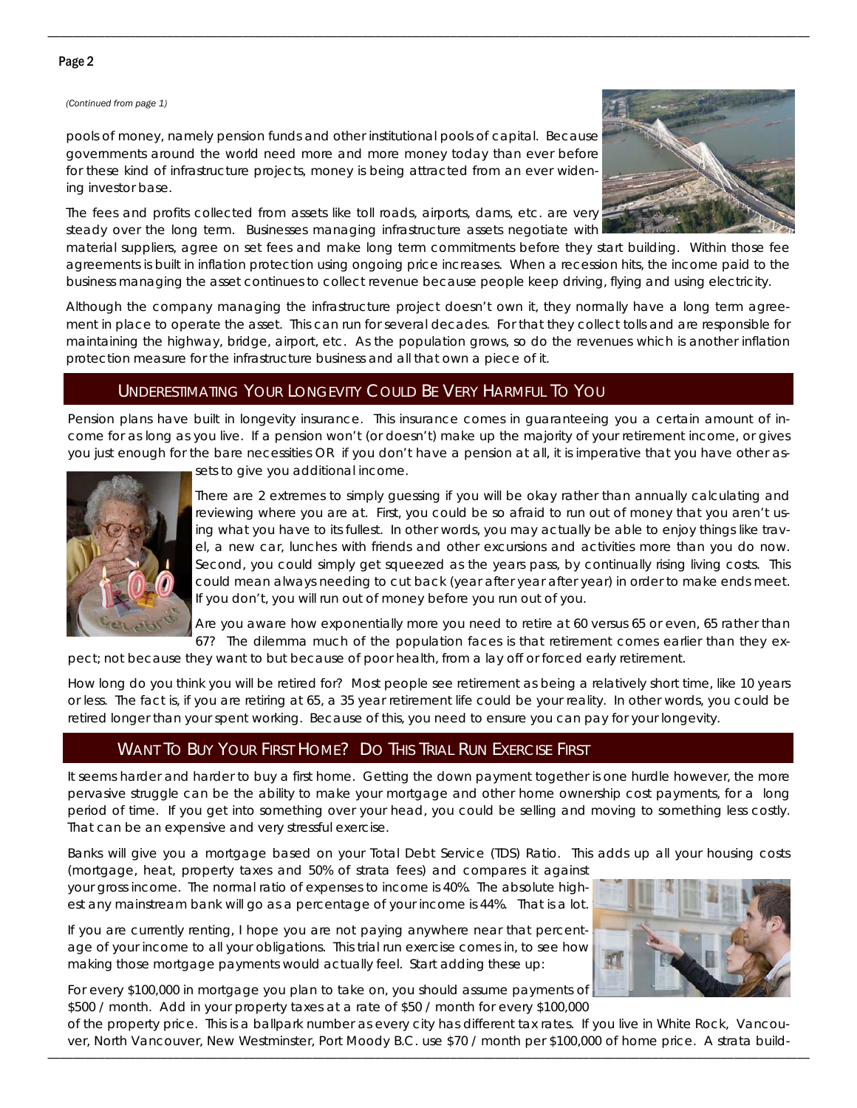### Page 2

#### *(Continued from page 1)*

pools of money, namely pension funds and other institutional pools of capital. Because governments around the world need more and more money today than ever before for these kind of infrastructure projects, money is being attracted from an ever widening investor base.

The fees and profits collected from assets like toll roads, airports, dams, etc. are very steady over the long term. Businesses managing infrastructure assets negotiate with



material suppliers, agree on set fees and make long term commitments before they start building. Within those fee agreements is built in inflation protection using ongoing price increases. When a recession hits, the income paid to the business managing the asset continues to collect revenue because people keep driving, flying and using electricity.

\_\_\_\_\_\_\_\_\_\_\_\_\_\_\_\_\_\_\_\_\_\_\_\_\_\_\_\_\_\_\_\_\_\_\_\_\_\_\_\_\_\_\_\_\_\_\_\_\_\_\_\_\_\_\_\_\_\_\_\_\_\_\_\_\_\_\_\_\_\_\_\_\_\_\_\_\_\_\_\_\_\_\_\_\_\_\_\_\_\_\_\_\_\_\_\_\_\_\_\_\_\_\_\_\_\_\_\_\_\_\_\_\_\_\_\_\_\_\_\_\_

Although the company managing the infrastructure project doesn't own it, they normally have a long term agreement in place to operate the asset. This can run for several decades. For that they collect tolls and are responsible for maintaining the highway, bridge, airport, etc. As the population grows, so do the revenues which is another inflation protection measure for the infrastructure business and all that own a piece of it.

## UNDERESTIMATING YOUR LONGEVITY COULD BE VERY HARMFUL TO YOU

Pension plans have built in longevity insurance. This insurance comes in guaranteeing you a certain amount of income for as long as you live. If a pension won't (or doesn't) make up the majority of your retirement income, or gives you just enough for the bare necessities OR if you don't have a pension at all, it is imperative that you have other as-



sets to give you additional income.

There are 2 extremes to simply guessing if you will be okay rather than annually calculating and reviewing where you are at. First, you could be so afraid to run out of money that you aren't using what you have to its fullest. In other words, you may actually be able to enjoy things like travel, a new car, lunches with friends and other excursions and activities more than you do now. Second, you could simply get squeezed as the years pass, by continually rising living costs. This could mean always needing to cut back (year after year after year) in order to make ends meet. If you don't, you will run out of money before you run out of you.

Are you aware how exponentially more you need to retire at 60 versus 65 or even, 65 rather than 67? The dilemma much of the population faces is that retirement comes earlier than they ex-

pect; not because they want to but because of poor health, from a lay off or forced early retirement.

How long do you think you will be retired for? Most people see retirement as being a relatively short time, like 10 years or less. The fact is, if you are retiring at 65, a 35 year retirement life could be your reality. In other words, you could be retired longer than your spent working. Because of this, you need to ensure you can pay for your longevity.

# WANT TO BUY YOUR FIRST HOME? DO THIS TRIAL RUN EXERCISE FIRST

It seems harder and harder to buy a first home. Getting the down payment together is one hurdle however, the more pervasive struggle can be the ability to make your mortgage and other home ownership cost payments, for a long period of time. If you get into something over your head, you could be selling and moving to something less costly. That can be an expensive and very stressful exercise.

Banks will give you a mortgage based on your Total Debt Service (TDS) Ratio. This adds up all your housing costs (mortgage, heat, property taxes and 50% of strata fees) and compares it against

your gross income. The normal ratio of expenses to income is 40%. The absolute highest any mainstream bank will go as a percentage of your income is 44%. That is a lot.

If you are currently renting, I hope you are not paying anywhere near that percentage of your income to all your obligations. This trial run exercise comes in, to see how making those mortgage payments would actually feel. Start adding these up:

For every \$100,000 in mortgage you plan to take on, you should assume payments of \$500 / month. Add in your property taxes at a rate of \$50 / month for every \$100,000



\_\_\_\_\_\_\_\_\_\_\_\_\_\_\_\_\_\_\_\_\_\_\_\_\_\_\_\_\_\_\_\_\_\_\_\_\_\_\_\_\_\_\_\_\_\_\_\_\_\_\_\_\_\_\_\_\_\_\_\_\_\_\_\_\_\_\_\_\_\_\_\_\_\_\_\_\_\_\_\_\_\_\_\_\_\_\_\_\_\_\_\_\_\_\_\_\_\_\_\_\_\_\_\_\_\_\_\_\_\_\_\_\_\_\_\_\_\_\_\_\_ of the property price. This is a ballpark number as every city has different tax rates. If you live in White Rock, Vancouver, North Vancouver, New Westminster, Port Moody B.C. use \$70 / month per \$100,000 of home price. A strata build-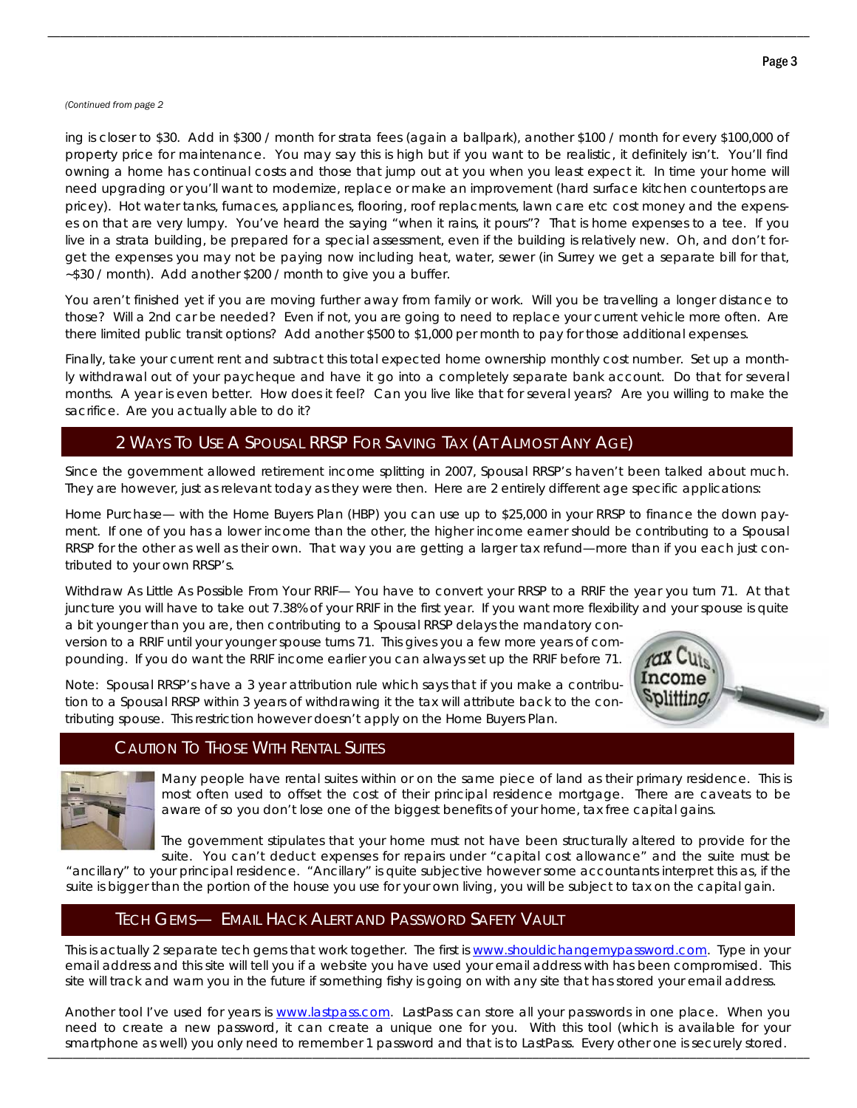#### *(Continued from page 2*

ing is closer to \$30. Add in \$300 / month for strata fees (again a ballpark), another \$100 / month for every \$100,000 of property price for maintenance. You may say this is high but if you want to be realistic, it definitely isn't. You'll find owning a home has continual costs and those that jump out at you when you least expect it. In time your home will need upgrading or you'll want to modernize, replace or make an improvement (hard surface kitchen countertops are pricey). Hot water tanks, furnaces, appliances, flooring, roof replacments, lawn care etc cost money and the expenses on that are very lumpy. You've heard the saying "when it rains, it pours"? That is home expenses to a tee. If you live in a strata building, be prepared for a special assessment, even if the building is relatively new. Oh, and don't forget the expenses you may not be paying now including heat, water, sewer (in Surrey we get a separate bill for that, ~\$30 / month). Add another \$200 / month to give you a buffer.

\_\_\_\_\_\_\_\_\_\_\_\_\_\_\_\_\_\_\_\_\_\_\_\_\_\_\_\_\_\_\_\_\_\_\_\_\_\_\_\_\_\_\_\_\_\_\_\_\_\_\_\_\_\_\_\_\_\_\_\_\_\_\_\_\_\_\_\_\_\_\_\_\_\_\_\_\_\_\_\_\_\_\_\_\_\_\_\_\_\_\_\_\_\_\_\_\_\_\_\_\_\_\_\_\_\_\_\_\_\_\_\_\_\_\_\_\_\_\_\_\_

You aren't finished yet if you are moving further away from family or work. Will you be travelling a longer distance to those? Will a 2nd car be needed? Even if not, you are going to need to replace your current vehicle more often. Are there limited public transit options? Add another \$500 to \$1,000 per month to pay for those additional expenses.

Finally, take your current rent and subtract this total expected home ownership monthly cost number. Set up a monthly withdrawal out of your paycheque and have it go into a completely separate bank account. Do that for several months. A year is even better. How does it feel? Can you live like that for several years? Are you willing to make the sacrifice. Are you actually able to do it?

## 2 WAYS TO USE A SPOUSAL RRSP FOR SAVING TAX (AT ALMOST ANY AGE)

Since the government allowed retirement income splitting in 2007, Spousal RRSP's haven't been talked about much. They are however, just as relevant today as they were then. Here are 2 entirely different age specific applications:

Home Purchase— with the Home Buyers Plan (HBP) you can use up to \$25,000 in your RRSP to finance the down payment. If one of you has a lower income than the other, the higher income earner should be contributing to a Spousal RRSP for the other as well as their own. That way you are getting a larger tax refund—more than if you each just contributed to your own RRSP's.

Withdraw As Little As Possible From Your RRIF— You have to convert your RRSP to a RRIF the year you turn 71. At that juncture you will have to take out 7.38% of your RRIF in the first year. If you want more flexibility and your spouse is quite

a bit younger than you are, then contributing to a Spousal RRSP delays the mandatory conversion to a RRIF until your younger spouse turns 71. This gives you a few more years of compounding. If you do want the RRIF income earlier you can always set up the RRIF before 71.

Note: Spousal RRSP's have a 3 year attribution rule which says that if you make a contribution to a Spousal RRSP within 3 years of withdrawing it the tax will attribute back to the contributing spouse. This restriction however doesn't apply on the Home Buyers Plan.



### CAUTION TO THOSE WITH RENTAL SUITES

Many people have rental suites within or on the same piece of land as their primary residence. This is most often used to offset the cost of their principal residence mortgage. There are caveats to be aware of so you don't lose one of the biggest benefits of your home, tax free capital gains.

The government stipulates that your home must not have been structurally altered to provide for the suite. You can't deduct expenses for repairs under "capital cost allowance" and the suite must be

"ancillary" to your principal residence. "Ancillary" is quite subjective however some accountants interpret this as, if the suite is bigger than the portion of the house you use for your own living, you will be subject to tax on the capital gain.

## TECH GEMS— EMAIL HACK ALERT AND PASSWORD SAFETY VAULT

This is actually 2 separate tech gems that work together. The first is www.shouldichangemypassword.com. Type in your email address and this site will tell you if a website you have used your email address with has been compromised. This site will track and warn you in the future if something fishy is going on with any site that has stored your email address.

\_\_\_\_\_\_\_\_\_\_\_\_\_\_\_\_\_\_\_\_\_\_\_\_\_\_\_\_\_\_\_\_\_\_\_\_\_\_\_\_\_\_\_\_\_\_\_\_\_\_\_\_\_\_\_\_\_\_\_\_\_\_\_\_\_\_\_\_\_\_\_\_\_\_\_\_\_\_\_\_\_\_\_\_\_\_\_\_\_\_\_\_\_\_\_\_\_\_\_\_\_\_\_\_\_\_\_\_\_\_\_\_\_\_\_\_\_\_\_\_\_ smartphone as well) you only need to remember 1 password and that is to LastPass. Every other one is securely stored. Another tool I've used for years is www.lastpass.com. LastPass can store all your passwords in one place. When you need to create a new password, it can create a unique one for you. With this tool (which is available for your